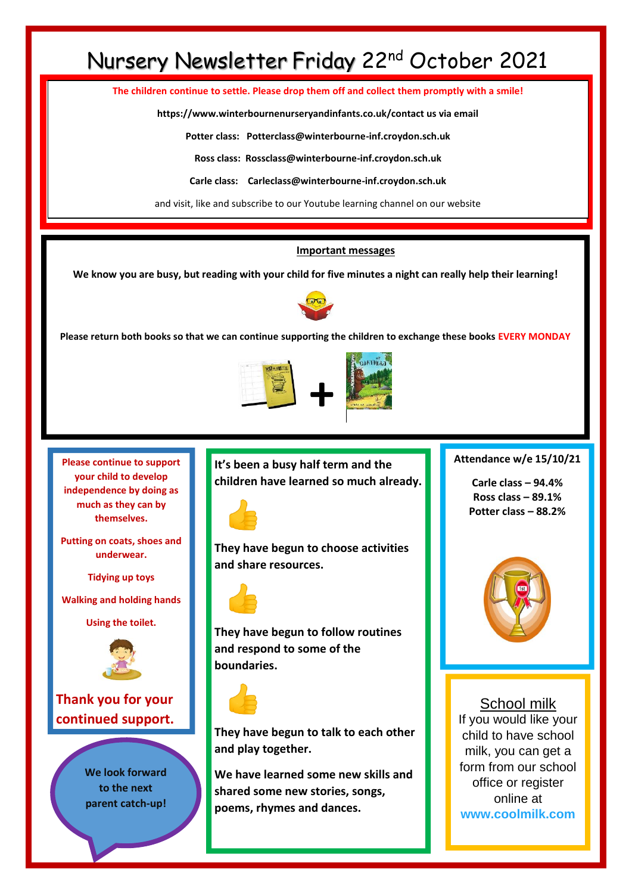# Nursery Newsletter Friday 22nd October 2021

**The children continue to settle. Please drop them off and collect them promptly with a smile!**

**https://www.winterbournenurseryandinfants.co.uk/contact us via email**

**Potter class: Potterclass@winterbourne-inf.croydon.sch.uk**

**Ross class: Rossclass@winterbourne-inf.croydon.sch.uk**

**Carle class: Carleclass@winterbourne-inf.croydon.sch.uk**

and visit, like and subscribe to our Youtube learning channel on our website

#### **Important messages**

**We know you are busy, but reading with your child for five minutes a night can really help their learning!**



**Please return both books so that we can continue supporting the children to exchange these books EVERY MONDAY**



**Please continue to support your child to develop independence by doing as much as they can by themselves.** 

**Putting on coats, shoes and underwear.**

**Tidying up toys**

**Walking and holding hands** 

**Using the toilet.**



**Thank you for your continued support.**

> **We look forward to the next parent catch-up!**

**It's been a busy half term and the children have learned so much already.**



**They have begun to choose activities and share resources.** 



**They have begun to follow routines and respond to some of the boundaries.** 



**They have begun to talk to each other and play together.**

**We have learned some new skills and shared some new stories, songs, poems, rhymes and dances.**

**Attendance w/e 15/10/21**

**Carle class – 94.4% Ross class – 89.1% Potter class – 88.2%**



School milk If you would like your child to have school milk, you can get a form from our school office or register online at **[www.coolmilk.com](http://www.coolmilk.com/)**